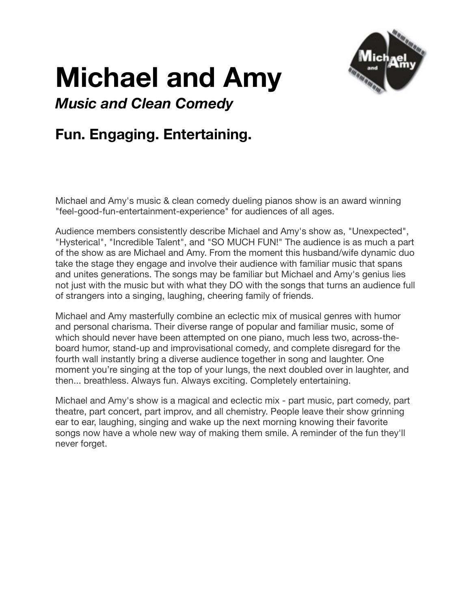

# **Michael and Amy**

*Music and Clean Comedy* 

## **Fun. Engaging. Entertaining.**

Michael and Amy's music & clean comedy dueling pianos show is an award winning "feel-good-fun-entertainment-experience" for audiences of all ages.

Audience members consistently describe Michael and Amy's show as, "Unexpected", "Hysterical", "Incredible Talent", and "SO MUCH FUN!" The audience is as much a part of the show as are Michael and Amy. From the moment this husband/wife dynamic duo take the stage they engage and involve their audience with familiar music that spans and unites generations. The songs may be familiar but Michael and Amy's genius lies not just with the music but with what they DO with the songs that turns an audience full of strangers into a singing, laughing, cheering family of friends.

Michael and Amy masterfully combine an eclectic mix of musical genres with humor and personal charisma. Their diverse range of popular and familiar music, some of which should never have been attempted on one piano, much less two, across-theboard humor, stand-up and improvisational comedy, and complete disregard for the fourth wall instantly bring a diverse audience together in song and laughter. One moment you're singing at the top of your lungs, the next doubled over in laughter, and then... breathless. Always fun. Always exciting. Completely entertaining.

Michael and Amy's show is a magical and eclectic mix - part music, part comedy, part theatre, part concert, part improv, and all chemistry. People leave their show grinning ear to ear, laughing, singing and wake up the next morning knowing their favorite songs now have a whole new way of making them smile. A reminder of the fun they'll never forget.